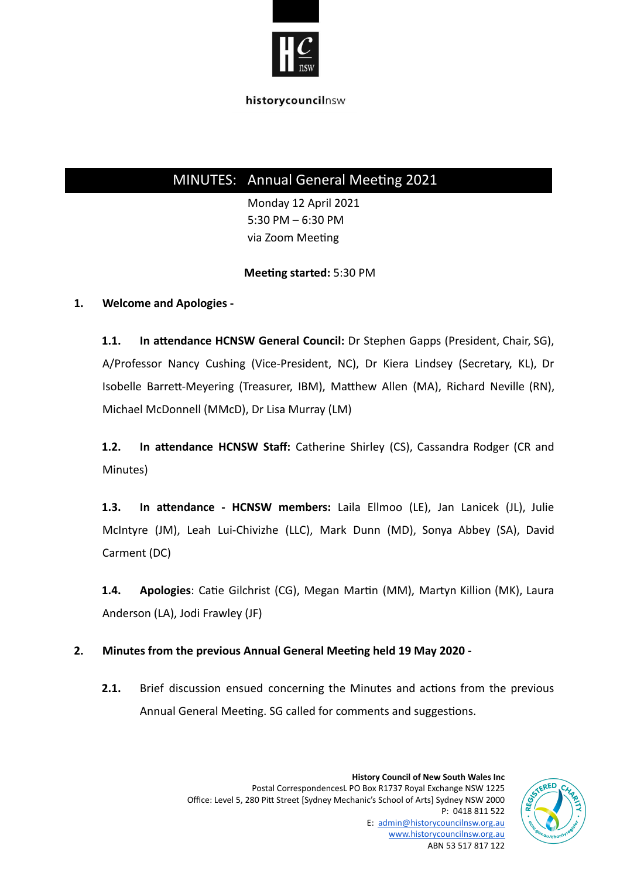

# MINUTES: Annual General Meeting 2021

Monday 12 April 2021 5:30 PM – 6:30 PM via Zoom Meeting

### **Meeting started:** 5:30 PM

## **1. Welcome and Apologies -**

1.1. In attendance HCNSW General Council: Dr Stephen Gapps (President, Chair, SG), A/Professor Nancy Cushing (Vice-President, NC), Dr Kiera Lindsey (Secretary, KL), Dr Isobelle Barrett-Meyering (Treasurer, IBM), Matthew Allen (MA), Richard Neville (RN), Michael McDonnell (MMcD), Dr Lisa Murray (LM)

**1.2.** In attendance HCNSW Staff: Catherine Shirley (CS), Cassandra Rodger (CR and Minutes)

1.3. In attendance - HCNSW members: Laila Ellmoo (LE), Jan Lanicek (JL), Julie McIntyre (JM), Leah Lui-Chivizhe (LLC), Mark Dunn (MD), Sonya Abbey (SA), David Carment (DC)

**1.4. Apologies**: Catie Gilchrist (CG), Megan Martin (MM), Martyn Killion (MK), Laura Anderson (LA), Jodi Frawley (JF)

## **2. Minutes from the previous Annual General Meeng held 19 May 2020 -**

**2.1.** Brief discussion ensued concerning the Minutes and actions from the previous Annual General Meeting. SG called for comments and suggestions.

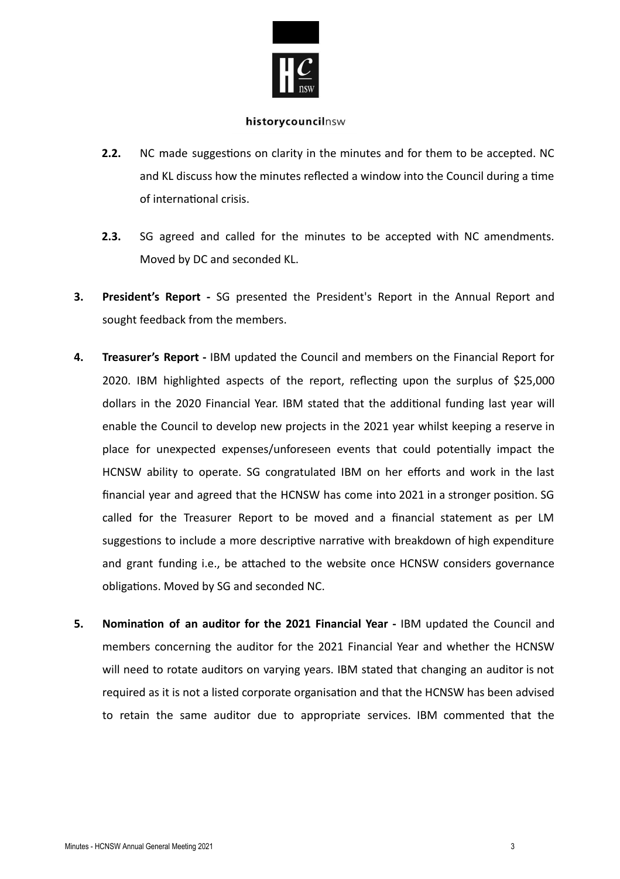

- **2.2.** NC made suggestions on clarity in the minutes and for them to be accepted. NC and KL discuss how the minutes reflected a window into the Council during a time of international crisis.
- **2.3.** SG agreed and called for the minutes to be accepted with NC amendments. Moved by DC and seconded KL.
- **3. President's Report -** SG presented the President's Report in the Annual Report and sought feedback from the members.
- **4. Treasurer's Report -** IBM updated the Council and members on the Financial Report for 2020. IBM highlighted aspects of the report, reflecting upon the surplus of  $$25,000$ dollars in the 2020 Financial Year. IBM stated that the additional funding last year will enable the Council to develop new projects in the 2021 year whilst keeping a reserve in place for unexpected expenses/unforeseen events that could potentially impact the HCNSW ability to operate. SG congratulated IBM on her efforts and work in the last financial year and agreed that the HCNSW has come into 2021 in a stronger position. SG called for the Treasurer Report to be moved and a financial statement as per LM suggestions to include a more descriptive narrative with breakdown of high expenditure and grant funding i.e., be attached to the website once HCNSW considers governance obligations. Moved by SG and seconded NC.
- **5. Nomination of an auditor for the 2021 Financial Year** IBM updated the Council and members concerning the auditor for the 2021 Financial Year and whether the HCNSW will need to rotate auditors on varying years. IBM stated that changing an auditor is not required as it is not a listed corporate organisation and that the HCNSW has been advised to retain the same auditor due to appropriate services. IBM commented that the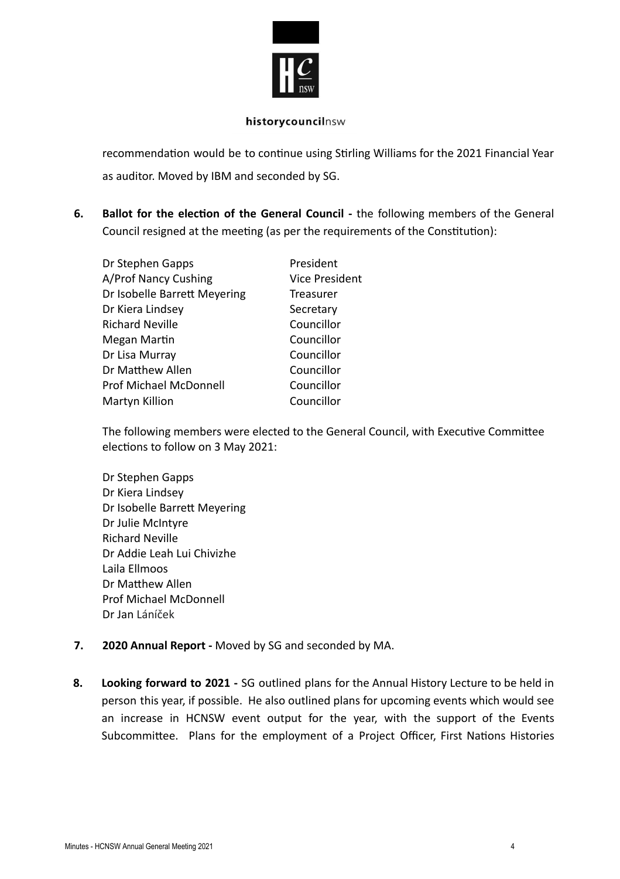

recommendation would be to continue using Stirling Williams for the 2021 Financial Year as auditor. Moved by IBM and seconded by SG.

**6. Ballot for the election of the General Council** - the following members of the General Council resigned at the meeting (as per the requirements of the Constitution):

| Dr Stephen Gapps              | President      |
|-------------------------------|----------------|
| A/Prof Nancy Cushing          | Vice President |
| Dr Isobelle Barrett Meyering  | Treasurer      |
| Dr Kiera Lindsey              | Secretary      |
| <b>Richard Neville</b>        | Councillor     |
| Megan Martin                  | Councillor     |
| Dr Lisa Murray                | Councillor     |
| Dr Matthew Allen              | Councillor     |
| <b>Prof Michael McDonnell</b> | Councillor     |
| Martyn Killion                | Councillor     |

The following members were elected to the General Council, with Executive Committee elections to follow on 3 May 2021:

- Dr Stephen Gapps Dr Kiera Lindsey Dr Isobelle Barrett Meyering Dr Julie McIntyre Richard Neville Dr Addie Leah Lui Chivizhe Laila Ellmoos Dr Matthew Allen Prof Michael McDonnell Dr Jan Láníček
- **7. 2020 Annual Report -** Moved by SG and seconded by MA.
- **8. Looking forward to 2021 -** SG outlined plans for the Annual History Lecture to be held in person this year, if possible. He also outlined plans for upcoming events which would see an increase in HCNSW event output for the year, with the support of the Events Subcommittee. Plans for the employment of a Project Officer, First Nations Histories